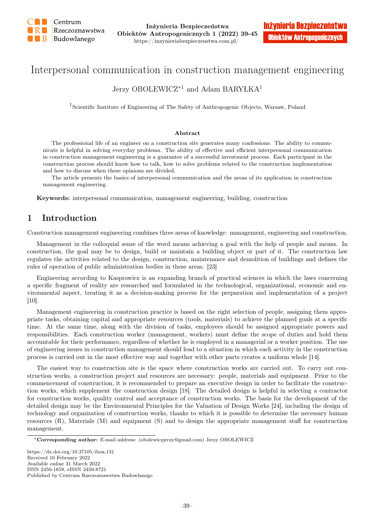

# Interpersonal communication in construction management engineering

## Jerzy OBOLEWICZ<sup>\*1</sup> and Adam BARYŁKA<sup>1</sup>

<sup>1</sup>Scientific Institute of Engineering of The Safety of Anthropogenic Objects, Warsaw, Poland

#### Abstract

The professional life of an engineer on a construction site generates many confessions. The ability to communicate is helpful in solving everyday problems. The ability of effective and efficient interpersonal communication in construction management engineering is a guarantee of a successful investment process. Each participant in the construction process should know how to talk, how to solve problems related to the construction implementation and how to discuss when these opinions are divided.

The article presents the basics of interpersonal communication and the areas of its application in construction management engineering.

Keywords: interpersonal communication, management engineering, building, construction

# 1 Introduction

Construction management engineering combines three areas of knowledge: management, engineering and construction.

Management in the colloquial sense of the word means achieving a goal with the help of people and means. In construction, the goal may be to design, build or maintain a building object or part of it. The construction law regulates the activities related to the design, construction, maintenance and demolition of buildings and defines the rules of operation of public administration bodies in these areas. [23]

Engineering according to Kasprowicz is an expanding branch of practical sciences in which the laws concerning a specific fragment of reality are researched and formulated in the technological, organizational, economic and environmental aspect, treating it as a decision-making process for the preparation and implementation of a project [10].

Management engineering in construction practice is based on the right selection of people, assigning them appropriate tasks, obtaining capital and appropriate resources (tools, materials) to achieve the planned goals at a specific time. At the same time, along with the division of tasks, employees should be assigned appropriate powers and responsibilities. Each construction worker (management, workers) must define the scope of duties and hold them accountable for their performance, regardless of whether he is employed in a managerial or a worker position. The use of engineering issues in construction management should lead to a situation in which each activity in the construction process is carried out in the most effective way and together with other parts creates a uniform whole [14].

The easiest way to construction site is the space where construction works are carried out. To carry out construction works, a construction project and resources are necessary: people, materials and equipment. Prior to the commencement of construction, it is recommended to prepare an executive design in order to facilitate the construction works, which supplement the construction design [18]. The detailed design is helpful in selecting a contractor for construction works, quality control and acceptance of construction works. The basis for the development of the detailed design may be the Environmental Principles for the Valuation of Design Works [24], including the design of technology and organization of construction works, thanks to which it is possible to determine the necessary human resources (R), Materials (M) and equipment (S) and to design the appropriate management staff for construction management.

<sup>∗</sup>Corresponding author: E-mail address: (obolewiczjerzy@gmail.com) Jerzy OBOLEWICZ

https://dx.doi.org/10.37105/iboa.131 Received 10 February 2022 Available online 31 March 2022 ISSN 2450-1859, eISSN 2450-8721 Published by Centrum Rzeczoznawstwa Budowlanego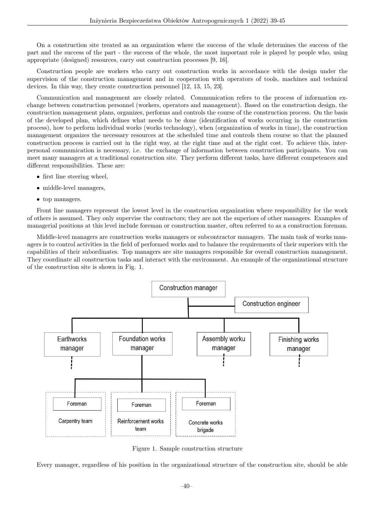On a construction site treated as an organization where the success of the whole determines the success of the part and the success of the part - the success of the whole, the most important role is played by people who, using appropriate (designed) resources, carry out construction processes [9, 16].

Construction people are workers who carry out construction works in accordance with the design under the supervision of the construction management and in cooperation with operators of tools, machines and technical devices. In this way, they create construction personnel [12, 13, 15, 23].

Communication and management are closely related. Communication refers to the process of information exchange between construction personnel (workers, operators and management). Based on the construction design, the construction management plans, organizes, performs and controls the course of the construction process. On the basis of the developed plan, which defines what needs to be done (identification of works occurring in the construction process), how to perform individual works (works technology), when (organization of works in time), the construction management organizes the necessary resources at the scheduled time and controls them course so that the planned construction process is carried out in the right way, at the right time and at the right cost. To achieve this, interpersonal communication is necessary, i.e. the exchange of information between construction participants. You can meet many managers at a traditional construction site. They perform different tasks, have different competences and different responsibilities. These are:

- first line steering wheel,
- middle-level managers,
- top managers.

Front line managers represent the lowest level in the construction organization where responsibility for the work of others is assumed. They only supervise the contractors; they are not the superiors of other managers. Examples of managerial positions at this level include foreman or construction master, often referred to as a construction foreman.

Middle-level managers are construction works managers or subcontractor managers. The main task of works managers is to control activities in the field of performed works and to balance the requirements of their superiors with the capabilities of their subordinates. Top managers are site managers responsible for overall construction management. They coordinate all construction tasks and interact with the environment. An example of the organizational structure of the construction site is shown in Fig. 1.



Figure 1. Sample construction structure

Every manager, regardless of his position in the organizational structure of the construction site, should be able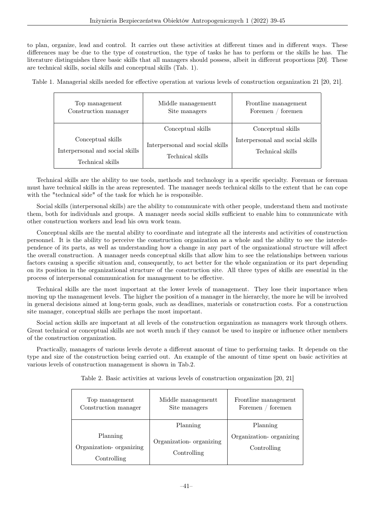to plan, organize, lead and control. It carries out these activities at different times and in different ways. These differences may be due to the type of construction, the type of tasks he has to perform or the skills he has. The literature distinguishes three basic skills that all managers should possess, albeit in different proportions [20]. These are technical skills, social skills and conceptual skills (Tab. 1).

Table 1. Managerial skills needed for effective operation at various levels of construction organization 21 [20, 21].

| Top management<br>Construction manager                                   | Middle managementt<br>Site managers                 | Frontline management<br>foremen<br>Foremen          |
|--------------------------------------------------------------------------|-----------------------------------------------------|-----------------------------------------------------|
|                                                                          | Conceptual skills                                   | Conceptual skills                                   |
| Conceptual skills<br>Interpersonal and social skills<br>Technical skills | Interpersonal and social skills<br>Technical skills | Interpersonal and social skills<br>Technical skills |

Technical skills are the ability to use tools, methods and technology in a specific specialty. Foreman or foreman must have technical skills in the areas represented. The manager needs technical skills to the extent that he can cope with the "technical side" of the task for which he is responsible.

Social skills (interpersonal skills) are the ability to communicate with other people, understand them and motivate them, both for individuals and groups. A manager needs social skills sufficient to enable him to communicate with other construction workers and lead his own work team.

Conceptual skills are the mental ability to coordinate and integrate all the interests and activities of construction personnel. It is the ability to perceive the construction organization as a whole and the ability to see the interdependence of its parts, as well as understanding how a change in any part of the organizational structure will affect the overall construction. A manager needs conceptual skills that allow him to see the relationships between various factors causing a specific situation and, consequently, to act better for the whole organization or its part depending on its position in the organizational structure of the construction site. All three types of skills are essential in the process of interpersonal communication for management to be effective.

Technical skills are the most important at the lower levels of management. They lose their importance when moving up the management levels. The higher the position of a manager in the hierarchy, the more he will be involved in general decisions aimed at long-term goals, such as deadlines, materials or construction costs. For a construction site manager, conceptual skills are perhaps the most important.

Social action skills are important at all levels of the construction organization as managers work through others. Great technical or conceptual skills are not worth much if they cannot be used to inspire or influence other members of the construction organization.

Practically, managers of various levels devote a different amount of time to performing tasks. It depends on the type and size of the construction being carried out. An example of the amount of time spent on basic activities at various levels of construction management is shown in Tab.2.

| Top management<br>Construction manager | Middle management<br>Site managers     | Frontline management<br>Foremen / foremen |
|----------------------------------------|----------------------------------------|-------------------------------------------|
|                                        | Planning                               | Planning                                  |
| Planning                               | Organization-organizing<br>Controlling | Organization- organizing                  |
| Organization- organizing               |                                        | Controlling                               |
| Controlling                            |                                        |                                           |

Table 2. Basic activities at various levels of construction organization [20, 21]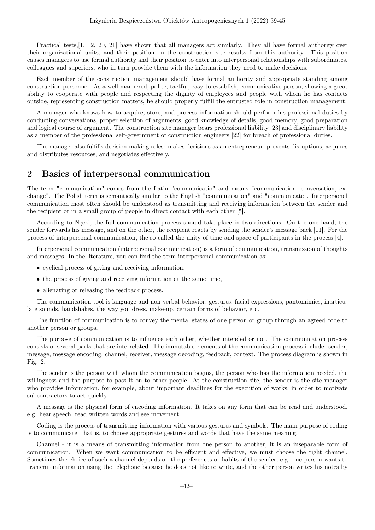Practical tests,[1, 12, 20, 21] have shown that all managers act similarly. They all have formal authority over their organizational units, and their position on the construction site results from this authority. This position causes managers to use formal authority and their position to enter into interpersonal relationships with subordinates, colleagues and superiors, who in turn provide them with the information they need to make decisions.

Each member of the construction management should have formal authority and appropriate standing among construction personnel. As a well-mannered, polite, tactful, easy-to-establish, communicative person, showing a great ability to cooperate with people and respecting the dignity of employees and people with whom he has contacts outside, representing construction matters, he should properly fulfill the entrusted role in construction management.

A manager who knows how to acquire, store, and process information should perform his professional duties by conducting conversations, proper selection of arguments, good knowledge of details, good memory, good preparation and logical course of argument. The construction site manager bears professional liability [23] and disciplinary liability as a member of the professional self-government of construction engineers [22] for breach of professional duties.

The manager also fulfills decision-making roles: makes decisions as an entrepreneur, prevents disruptions, acquires and distributes resources, and negotiates effectively.

### 2 Basics of interpersonal communication

The term "communication" comes from the Latin "communicatio" and means "communication, conversation, exchange". The Polish term is semantically similar to the English "communication" and "communicate". Interpersonal communication most often should be understood as transmitting and receiving information between the sender and the recipient or in a small group of people in direct contact with each other [5].

According to Nęcki, the full communication process should take place in two directions. On the one hand, the sender forwards his message, and on the other, the recipient reacts by sending the sender's message back [11]. For the process of interpersonal communication, the so-called the unity of time and space of participants in the process [4].

Interpersonal communication (interpersonal communication) is a form of communication, transmission of thoughts and messages. In the literature, you can find the term interpersonal communication as:

- cyclical process of giving and receiving information,
- the process of giving and receiving information at the same time,
- alienating or releasing the feedback process.

The communication tool is language and non-verbal behavior, gestures, facial expressions, pantomimics, inarticulate sounds, handshakes, the way you dress, make-up, certain forms of behavior, etc.

The function of communication is to convey the mental states of one person or group through an agreed code to another person or groups.

The purpose of communication is to influence each other, whether intended or not. The communication process consists of several parts that are interrelated. The immutable elements of the communication process include: sender, message, message encoding, channel, receiver, message decoding, feedback, context. The process diagram is shown in Fig. 2.

The sender is the person with whom the communication begins, the person who has the information needed, the willingness and the purpose to pass it on to other people. At the construction site, the sender is the site manager who provides information, for example, about important deadlines for the execution of works, in order to motivate subcontractors to act quickly.

A message is the physical form of encoding information. It takes on any form that can be read and understood, e.g. hear speech, read written words and see movement.

Coding is the process of transmitting information with various gestures and symbols. The main purpose of coding is to communicate, that is, to choose appropriate gestures and words that have the same meaning.

Channel - it is a means of transmitting information from one person to another, it is an inseparable form of communication. When we want communication to be efficient and effective, we must choose the right channel. Sometimes the choice of such a channel depends on the preferences or habits of the sender, e.g. one person wants to transmit information using the telephone because he does not like to write, and the other person writes his notes by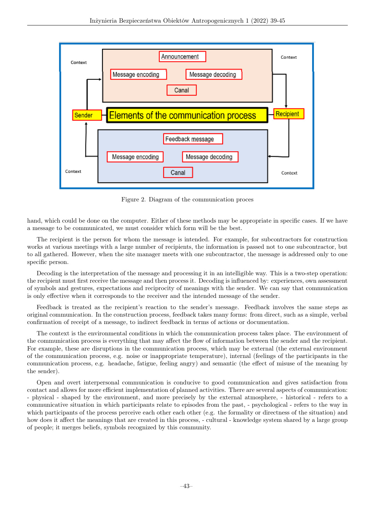

Figure 2. Diagram of the communication proces

hand, which could be done on the computer. Either of these methods may be appropriate in specific cases. If we have a message to be communicated, we must consider which form will be the best.

The recipient is the person for whom the message is intended. For example, for subcontractors for construction works at various meetings with a large number of recipients, the information is passed not to one subcontractor, but to all gathered. However, when the site manager meets with one subcontractor, the message is addressed only to one specific person.

Decoding is the interpretation of the message and processing it in an intelligible way. This is a two-step operation: the recipient must first receive the message and then process it. Decoding is influenced by: experiences, own assessment of symbols and gestures, expectations and reciprocity of meanings with the sender. We can say that communication is only effective when it corresponds to the receiver and the intended message of the sender.

Feedback is treated as the recipient's reaction to the sender's message. Feedback involves the same steps as original communication. In the construction process, feedback takes many forms: from direct, such as a simple, verbal confirmation of receipt of a message, to indirect feedback in terms of actions or documentation.

The context is the environmental conditions in which the communication process takes place. The environment of the communication process is everything that may affect the flow of information between the sender and the recipient. For example, these are disruptions in the communication process, which may be external (the external environment of the communication process, e.g. noise or inappropriate temperature), internal (feelings of the participants in the communication process, e.g. headache, fatigue, feeling angry) and semantic (the effect of misuse of the meaning by the sender).

Open and overt interpersonal communication is conducive to good communication and gives satisfaction from contact and allows for more efficient implementation of planned activities. There are several aspects of communication: - physical - shaped by the environment, and more precisely by the external atmosphere, - historical - refers to a communicative situation in which participants relate to episodes from the past, - psychological - refers to the way in which participants of the process perceive each other each other (e.g. the formality or directness of the situation) and how does it affect the meanings that are created in this process, - cultural - knowledge system shared by a large group of people; it merges beliefs, symbols recognized by this community.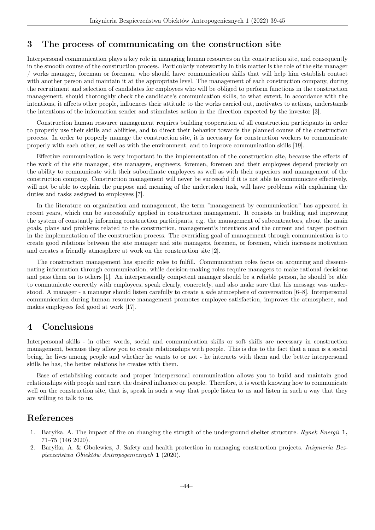### 3 The process of communicating on the construction site

Interpersonal communication plays a key role in managing human resources on the construction site, and consequently in the smooth course of the construction process. Particularly noteworthy in this matter is the role of the site manager / works manager, foreman or foreman, who should have communication skills that will help him establish contact with another person and maintain it at the appropriate level. The management of each construction company, during the recruitment and selection of candidates for employees who will be obliged to perform functions in the construction management, should thoroughly check the candidate's communication skills, to what extent, in accordance with the intentions, it affects other people, influences their attitude to the works carried out, motivates to actions, understands the intentions of the information sender and stimulates action in the direction expected by the investor [3].

Construction human resource management requires building cooperation of all construction participants in order to properly use their skills and abilities, and to direct their behavior towards the planned course of the construction process. In order to properly manage the construction site, it is necessary for construction workers to communicate properly with each other, as well as with the environment, and to improve communication skills [19].

Effective communication is very important in the implementation of the construction site, because the effects of the work of the site manager, site managers, engineers, foremen, foremen and their employees depend precisely on the ability to communicate with their subordinate employees as well as with their superiors and management of the construction company. Construction management will never be successful if it is not able to communicate effectively, will not be able to explain the purpose and meaning of the undertaken task, will have problems with explaining the duties and tasks assigned to employees [7].

In the literature on organization and management, the term "management by communication" has appeared in recent years, which can be successfully applied in construction management. It consists in building and improving the system of constantly informing construction participants, e.g. the management of subcontractors, about the main goals, plans and problems related to the construction, management's intentions and the current and target position in the implementation of the construction process. The overriding goal of management through communication is to create good relations between the site manager and site managers, foremen, or foremen, which increases motivation and creates a friendly atmosphere at work on the construction site [2].

The construction management has specific roles to fulfill. Communication roles focus on acquiring and disseminating information through communication, while decision-making roles require managers to make rational decisions and pass them on to others [1]. An interpersonally competent manager should be a reliable person, he should be able to communicate correctly with employees, speak clearly, concretely, and also make sure that his message was understood. A manager - a manager should listen carefully to create a safe atmosphere of conversation [6–8]. Interpersonal communication during human resource management promotes employee satisfaction, improves the atmosphere, and makes employees feel good at work [17].

#### 4 Conclusions

Interpersonal skills - in other words, social and communication skills or soft skills are necessary in construction management, because they allow you to create relationships with people. This is due to the fact that a man is a social being, he lives among people and whether he wants to or not - he interacts with them and the better interpersonal skills he has, the better relations he creates with them.

Ease of establishing contacts and proper interpersonal communication allows you to build and maintain good relationships with people and exert the desired influence on people. Therefore, it is worth knowing how to communicate well on the construction site, that is, speak in such a way that people listen to us and listen in such a way that they are willing to talk to us.

#### References

- Baryłka, A. The impact of fire on changing the strngth of the underground shelter structure. Rynek Energii 1, 71–75 (146 2020).
- 2. Baryłka, A. & Obolewicz, J. Safety and health protection in managing construction projects. Inżynieria Bezpieczeństwa Obiektów Antropogenicznych 1 (2020).